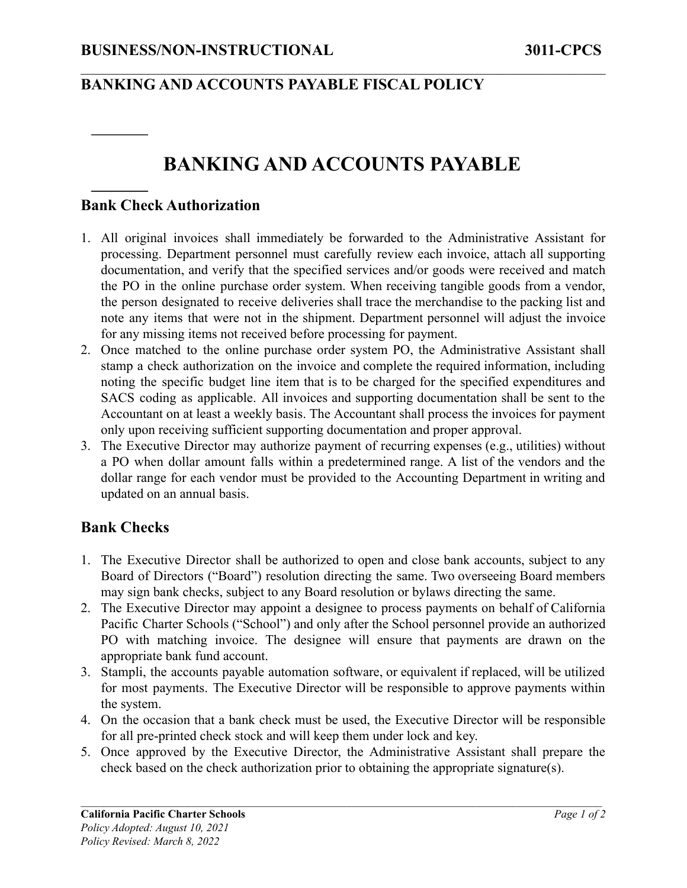## **BANKING AND ACCOUNTS PAYABLE FISCAL POLICY**

# **BANKING AND ACCOUNTS PAYABLE**

 $\mathcal{L}_\mathcal{L} = \{ \mathcal{L}_\mathcal{L} = \{ \mathcal{L}_\mathcal{L} = \{ \mathcal{L}_\mathcal{L} = \{ \mathcal{L}_\mathcal{L} = \{ \mathcal{L}_\mathcal{L} = \{ \mathcal{L}_\mathcal{L} = \{ \mathcal{L}_\mathcal{L} = \{ \mathcal{L}_\mathcal{L} = \{ \mathcal{L}_\mathcal{L} = \{ \mathcal{L}_\mathcal{L} = \{ \mathcal{L}_\mathcal{L} = \{ \mathcal{L}_\mathcal{L} = \{ \mathcal{L}_\mathcal{L} = \{ \mathcal{L}_\mathcal{$ 

#### **Bank Check Authorization**

- 1. All original invoices shall immediately be forwarded to the Administrative Assistant for processing. Department personnel must carefully review each invoice, attach all supporting documentation, and verify that the specified services and/or goods were received and match the PO in the online purchase order system. When receiving tangible goods from a vendor, the person designated to receive deliveries shall trace the merchandise to the packing list and note any items that were not in the shipment. Department personnel will adjust the invoice for any missing items not received before processing for payment.
- 2. Once matched to the online purchase order system PO, the Administrative Assistant shall stamp a check authorization on the invoice and complete the required information, including noting the specific budget line item that is to be charged for the specified expenditures and SACS coding as applicable. All invoices and supporting documentation shall be sent to the Accountant on at least a weekly basis. The Accountant shall process the invoices for payment only upon receiving sufficient supporting documentation and proper approval.
- 3. The Executive Director may authorize payment of recurring expenses (e.g., utilities) without a PO when dollar amount falls within a predetermined range. A list of the vendors and the dollar range for each vendor must be provided to the Accounting Department in writing and updated on an annual basis.

### **Bank Checks**

- 1. The Executive Director shall be authorized to open and close bank accounts, subject to any Board of Directors ("Board") resolution directing the same. Two overseeing Board members may sign bank checks, subject to any Board resolution or bylaws directing the same.
- 2. The Executive Director may appoint a designee to process payments on behalf of California Pacific Charter Schools ("School") and only after the School personnel provide an authorized PO with matching invoice. The designee will ensure that payments are drawn on the appropriate bank fund account.
- 3. Stampli, the accounts payable automation software, or equivalent if replaced, will be utilized for most payments. The Executive Director will be responsible to approve payments within the system.
- 4. On the occasion that a bank check must be used, the Executive Director will be responsible for all pre-printed check stock and will keep them under lock and key.
- 5. Once approved by the Executive Director, the Administrative Assistant shall prepare the check based on the check authorization prior to obtaining the appropriate signature(s).